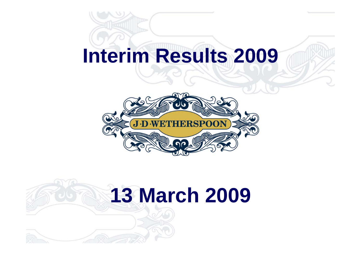# **Interim Results 2009**



# **13 March 2009**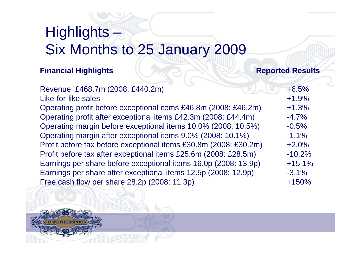### Highlights – Six Months to 25 January 2009

#### **Financial Highlights Reported Results**

| Revenue £468.7m (2008: £440.2m)                                  | $+6.5%$  |
|------------------------------------------------------------------|----------|
| Like-for-like sales                                              | $+1.9%$  |
| Operating profit before exceptional items £46.8m (2008: £46.2m)  | $+1.3%$  |
| Operating profit after exceptional items £42.3m (2008: £44.4m)   | $-4.7%$  |
| Operating margin before exceptional items 10.0% (2008: 10.5%)    | $-0.5%$  |
| Operating margin after exceptional items 9.0% (2008: 10.1%)      | $-1.1%$  |
| Profit before tax before exceptional items £30.8m (2008: £30.2m) | $+2.0%$  |
| Profit before tax after exceptional items £25.6m (2008: £28.5m)  | $-10.2%$ |
| Earnings per share before exceptional items 16.0p (2008: 13.9p)  | $+15.1%$ |
| Earnings per share after exceptional items 12.5p (2008: 12.9p)   | $-3.1%$  |
| Free cash flow per share 28.2p (2008: 11.3p)                     | $+150%$  |
|                                                                  |          |

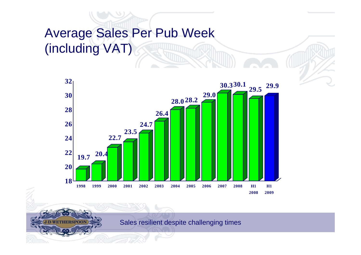#### Average Sales Per Pub Week (including VAT)



Sales resilient despite challenging times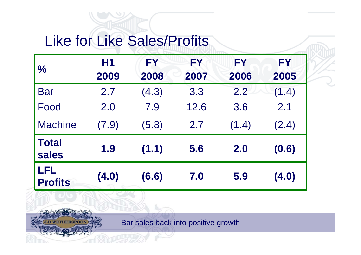### Like for Like Sales/Profits

| $\frac{1}{2}$                | H <sub>1</sub><br>2009 | FY<br>2008 | FY<br>2007 | FY<br>2006 | FY<br>2005 |
|------------------------------|------------------------|------------|------------|------------|------------|
| <b>Bar</b>                   | 2.7                    | (4.3)      | 3.3        | 2.2        | (1.4)      |
| Food                         | 2.0                    | 7.9        | 12.6       | 3.6        | 2.1        |
| <b>Machine</b>               | (7.9)                  | (5.8)      | 2.7        | (1.4)      | (2.4)      |
| <b>Total</b><br><b>sales</b> | 1.9                    | (1.1)      | 5.6        | 2.0        | (0.6)      |
| LFL<br><b>Profits</b>        | (4.0)                  | (6.6)      | 7.0        | 5.9        | (4.0)      |

Bar sales back into positive growth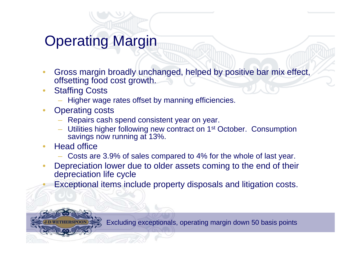### Operating Margin

- Gross margin broadly unchanged, helped by positive bar mix effect, offsetting food cost growth.
- **Staffing Costs** 
	- Higher wage rates offset by manning efficiencies.
- **Operating costs** 
	- Repairs cash spend consistent year on year.
	- Utilities higher following new contract on 1st October. Consumption savings now running at 13%.
- Head office
	- Costs are 3.9% of sales compared to 4% for the whole of last year.
- Depreciation lower due to older assets coming to the end of their depreciation life cycle
	- Exceptional items include property disposals and litigation costs.

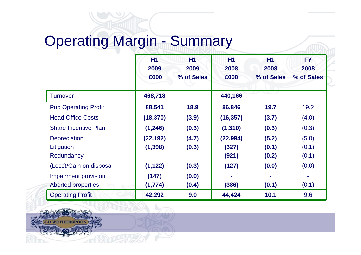### Operating Margin - Summary

|                             | <b>H1</b><br>2009<br>£000 | <b>H1</b><br>2009<br>% of Sales | <b>H1</b><br>2008<br>£000 | H <sub>1</sub><br>2008<br>% of Sales | <b>FY</b><br>2008<br>% of Sales |
|-----------------------------|---------------------------|---------------------------------|---------------------------|--------------------------------------|---------------------------------|
| <b>Turnover</b>             | 468,718                   |                                 | 440,166                   |                                      |                                 |
| <b>Pub Operating Profit</b> | 88,541                    | 18.9                            | 86,846                    | 19.7                                 | 19.2                            |
| <b>Head Office Costs</b>    | (18, 370)                 | (3.9)                           | (16, 357)                 | (3.7)                                | (4.0)                           |
| <b>Share Incentive Plan</b> | (1, 246)                  | (0.3)                           | (1, 310)                  | (0.3)                                | (0.3)                           |
| <b>Depreciation</b>         | (22, 192)                 | (4.7)                           | (22, 994)                 | (5.2)                                | (5.0)                           |
| Litigation                  | (1, 398)                  | (0.3)                           | (327)                     | (0.1)                                | (0.1)                           |
| Redundancy                  |                           |                                 | (921)                     | (0.2)                                | (0.1)                           |
| (Loss)/Gain on disposal     | (1, 122)                  | (0.3)                           | (127)                     | (0.0)                                | (0.0)                           |
| Impairment provision        | (147)                     | (0.0)                           |                           |                                      |                                 |
| <b>Aborted properties</b>   | (1,774)                   | (0.4)                           | (386)                     | (0.1)                                | (0.1)                           |
| <b>Operating Profit</b>     | 42,292                    | 9.0                             | 44,424                    | 10.1                                 | 9.6                             |

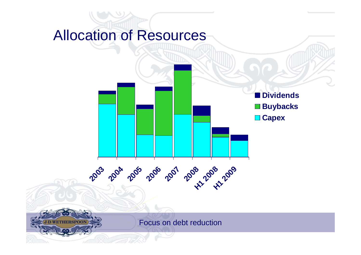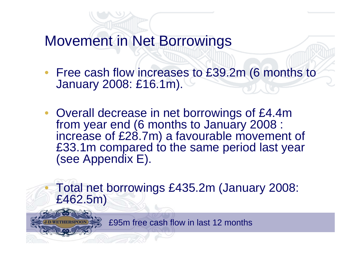Movement in Net Borrowings

- Free cash flow increases to £39.2m (6 months to January 2008: £16.1m).
- Overall decrease in net borrowings of £4.4m from year end (6 months to January 2008 : increase of £28.7m) a favourable movement of £33.1m compared to the same period last year (see Appendix E).

• Total net borrowings £435.2m (January 2008: £462.5m)

£95m free cash flow in last 12 months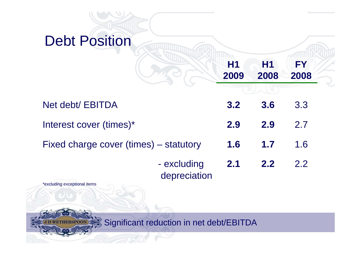



Significant reduction in net debt/EBITDA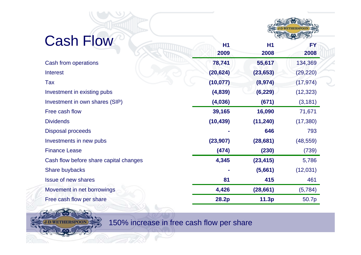

| <b>Cash Flow</b>                       |                |           |           |
|----------------------------------------|----------------|-----------|-----------|
|                                        | H <sub>1</sub> | <b>H1</b> | <b>FY</b> |
|                                        | 2009           | 2008      | 2008      |
| Cash from operations                   | 78,741         | 55,617    | 134,369   |
| <b>Interest</b>                        | (20, 624)      | (23, 653) | (29, 220) |
| Tax                                    | (10, 077)      | (8, 974)  | (17, 974) |
| Investment in existing pubs            | (4,839)        | (6, 229)  | (12, 323) |
| Investment in own shares (SIP)         | (4,036)        | (671)     | (3, 181)  |
| Free cash flow                         | 39,165         | 16,090    | 71,671    |
| <b>Dividends</b>                       | (10, 439)      | (11, 240) | (17, 380) |
| <b>Disposal proceeds</b>               |                | 646       | 793       |
| Investments in new pubs                | (23, 907)      | (28, 681) | (48, 559) |
| <b>Finance Lease</b>                   | (474)          | (230)     | (739)     |
| Cash flow before share capital changes | 4,345          | (23, 415) | 5,786     |
| Share buybacks                         |                | (5,661)   | (12,031)  |
| <b>Issue of new shares</b>             | 81             | 415       | 461       |
| Movement in net borrowings             | 4,426          | (28, 661) | (5,784)   |
| Free cash flow per share               | 28.2p          | 11.3p     | 50.7p     |
|                                        |                |           |           |



150% increase in free cash flow per share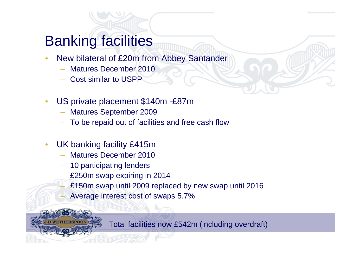#### Banking facilities

- New bilateral of £20m from Abbey Santander
	- Matures December 2010
	- Cost similar to USPP
- US private placement \$140m -£87m
	- Matures September 2009
	- To be repaid out of facilities and free cash flow
- UK banking facility £415m
	- Matures December 2010
	- 10 participating lenders
	- £250m swap expiring in 2014
		- £150m swap until 2009 replaced by new swap until 2016
	- Average interest cost of swaps 5.7%

Total facilities now £542m (including overdraft)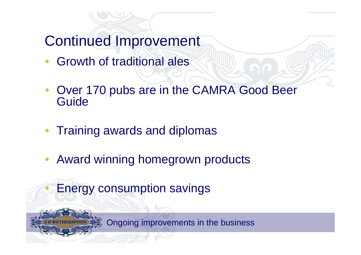Continued Improvement

- Growth of traditional ales
- Over 170 pubs are in the CAMRA Good Beer Guide
- Training awards and diplomas
- Award winning homegrown products

• Energy consumption savings

Ongoing improvements in the business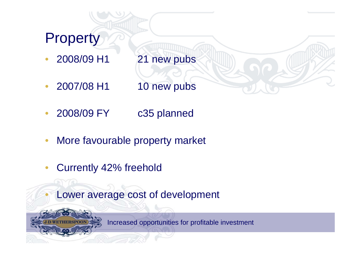### **Property**

- 2008/09 H1 21 new pubs
	- 2007/08 H1 10 new pubs
- 2008/09 FY c35 planned
- More favourable property market
- Currently 42% freehold
	- Lower average cost of development



Increased opportunities for profitable investment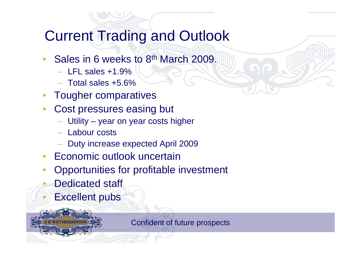### Current Trading and Outlook

- Sales in 6 weeks to 8<sup>th</sup> March 2009.
	- $-$  LFL sales  $+1.9\%$
	- Total sales +5.6%
- Tougher comparatives
- Cost pressures easing but
	- Utility year on year costs higher
	- Labour costs
	- Duty increase expected April 2009
- Economic outlook uncertain
- Opportunities for profitable investment
- Dedicated staff
- **Excellent pubs**



Confident of future prospects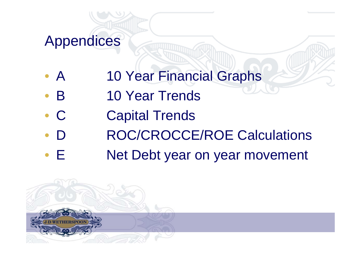#### Appendices

- A 10 Year Financial Graphs
- **B** 10 Year Trends
- C Capital Trends
- D ROC/CROCCE/ROE Calculations
- E Net Debt year on year movement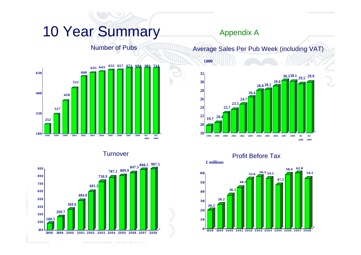#### 10 Year Summary

#### Number of Pubs



**Turnover** 



#### Appendix A

**£000**

Average Sales Per Pub Week (including VAT)



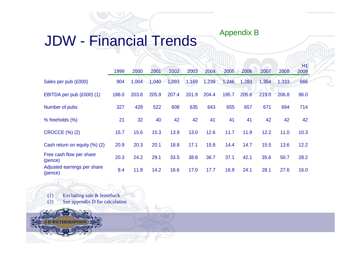# JDW - Financial Trends Appendix B

|                                        |       |       |       |       |       |       |       |       |       |       | H1   |
|----------------------------------------|-------|-------|-------|-------|-------|-------|-------|-------|-------|-------|------|
|                                        | 1999  | 2000  | 2001  | 2002  | 2003  | 2004  | 2005  | 2006  | 2007  | 2008  | 2009 |
| Sales per pub (£000)                   | 904   | 1,004 | 1,040 | 1,093 | 1,169 | 1,239 | 1,246 | 1,283 | 1,354 | 1,333 | 666  |
| EBITDA per pub (£000) (1)              | 188.0 | 203.8 | 205.9 | 207.4 | 201.9 | 204.4 | 195.7 | 205.6 | 219.0 | 206.8 | 96.0 |
| Number of pubs                         | 327   | 428   | 522   | 608   | 635   | 643   | 655   | 657   | 671   | 694   | 714  |
| % freeholds (%)                        | 21    | 32    | 40    | 42    | 42    | 41    | 41    | 41    | 42    | 42    | 42   |
| <b>CROCCE (%) (2)</b>                  | 15.7  | 15.6  | 15.3  | 13.9  | 13.0  | 12.6  | 11.7  | 11.9  | 12.2  | 11.0  | 10.3 |
| Cash return on equity (%) (2)          | 20.9  | 20.3  | 20.1  | 18.8  | 17.1  | 15.8  | 14.4  | 14.7  | 15.5  | 13.6  | 12.2 |
| Free cash flow per share<br>(pence)    | 20.3  | 24.2  | 29.1  | 33.5  | 38.8  | 36.7  | 37.1  | 42.1  | 35.6  | 50.7  | 28.2 |
| Adjusted earnings per share<br>(pence) | 9.4   | 11.8  | 14.2  | 16.6  | 17.0  | 17.7  | 16.9  | 24.1  | 28.1  | 27.6  | 16.0 |

(1) Excluding sale & leaseback (2) See appendix D for calculation

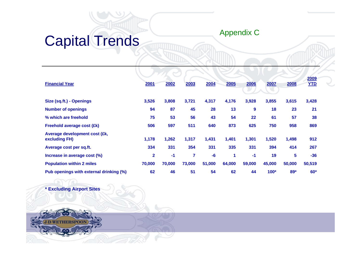# Capital Trends Appendix C

| <b>Financial Year</b>                          | 2001         | 2002   | 2003   | 2004   | 2005   | 2006             | 2007   | 2008   | 2009<br><b>YTD</b> |
|------------------------------------------------|--------------|--------|--------|--------|--------|------------------|--------|--------|--------------------|
|                                                |              |        |        |        |        |                  |        |        |                    |
| Size (sq.ft.) - Openings                       | 3,526        | 3,808  | 3,721  | 4,317  | 4,176  | 3,928            | 3,855  | 3,615  | 3,428              |
| <b>Number of openings</b>                      | 94           | 87     | 45     | 28     | 13     | $\boldsymbol{9}$ | 18     | 23     | 21                 |
| % which are freehold                           | 75           | 53     | 56     | 43     | 54     | 22               | 61     | 57     | 38                 |
| Freehold average cost (£k)                     | 506          | 597    | 511    | 640    | 873    | 625              | 750    | 958    | 869                |
| Average development cost (£k,<br>excluding FH) | 1,178        | 1,262  | 1,317  | 1,431  | 1,401  | 1,301            | 1,520  | 1,498  | 912                |
| Average cost per sq.ft.                        | 334          | 331    | 354    | 331    | 335    | 331              | 394    | 414    | 267                |
| Increase in average cost (%)                   | $\mathbf{2}$ | $-1$   | 7      | $-6$   | 1      | $-1$             | 19     | 5      | $-36$              |
| <b>Population within 2 miles</b>               | 70,000       | 70,000 | 73,000 | 51,000 | 64,000 | 59,000           | 45,000 | 50,000 | 50,519             |
| Pub openings with external drinking (%)        | 62           | 46     | 51     | 54     | 62     | 44               | $100*$ | $89*$  | $60*$              |

**\* Excluding Airport Sites**

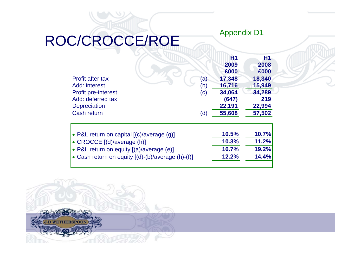## ROC/CROCCE/ROE

|                            |                            | <b>H1</b> | <b>H1</b> |
|----------------------------|----------------------------|-----------|-----------|
|                            |                            | 2009      | 2008      |
|                            |                            | £000      | £000      |
| <b>Profit after tax</b>    | (a)                        | 17,348    | 18,340    |
| Add: interest              | (b)                        | 16,716    | 15,949    |
| <b>Profit pre-interest</b> | $\left( \mathrm{c}\right)$ | 34,064    | 34,289    |
| Add: deferred tax          |                            | (647)     | 219       |
| <b>Depreciation</b>        |                            | 22,191    | 22,994    |
| <b>Cash return</b>         | (d)                        | 55,608    | 57,502    |

Appendix D1

| • P&L return on capital $[(c)/average(q)]$          | 10.5% | 10.7% |
|-----------------------------------------------------|-------|-------|
| $\cdot$ CROCCE $[(d)/average(h)]$                   | 10.3% | 11.2% |
| • P&L return on equity [(a)/average (e)]            | 16.7% | 19.2% |
| • Cash return on equity $[(d)-(b)/average (h)-(f)]$ | 12.2% | 14.4% |
|                                                     |       |       |

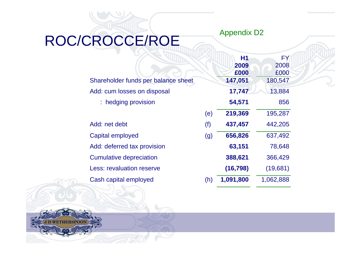#### Appendix D2

## ROC/CROCCE/ROE

|                                     |     | Η1        | FY        |
|-------------------------------------|-----|-----------|-----------|
|                                     |     | 2009      | 2008      |
|                                     |     | £000      | £000      |
| Shareholder funds per balance sheet |     | 147,051   | 180,547   |
| Add: cum losses on disposal         |     | 17,747    | 13,884    |
| : hedging provision                 |     | 54,571    | 856       |
|                                     | (e) | 219,369   | 195,287   |
| Add: net debt                       | (f) | 437,457   | 442,205   |
| Capital employed                    | (g) | 656,826   | 637,492   |
| Add: deferred tax provision         |     | 63,151    | 78,648    |
| <b>Cumulative depreciation</b>      |     | 388,621   | 366,429   |
| <b>Less: revaluation reserve</b>    |     | (16, 798) | (19,681)  |
| Cash capital employed               | (h) | 1,091,800 | 1,062,888 |